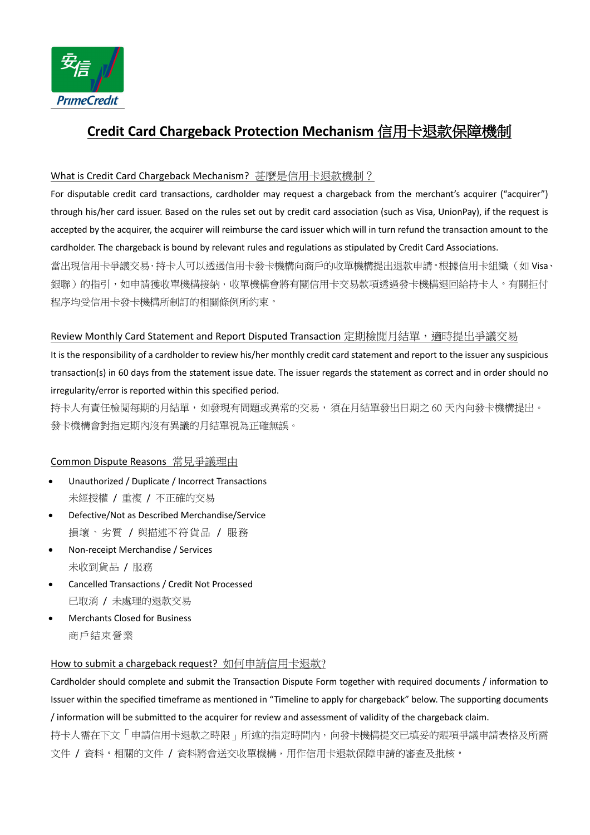

# **Credit Card Chargeback Protection Mechanism** 信用卡退款保障機制

# What is Credit Card Chargeback Mechanism? 甚麼是信用卡退款機制?

For disputable credit card transactions, cardholder may request a chargeback from the merchant's acquirer ("acquirer") through his/her card issuer. Based on the rules set out by credit card association (such as Visa, UnionPay), if the request is accepted by the acquirer, the acquirer will reimburse the card issuer which will in turn refund the transaction amount to the cardholder. The chargeback is bound by relevant rules and regulations as stipulated by Credit Card Associations. 當出現信用卡爭議交易,持卡人可以透過信用卡發卡機構向商戶的收單機構提出退款申請。根據信用卡組織(如 Visa、 銀聯)的指引,如申請獲收單機構接納,收單機構會將有關信用卡交易款項透過發卡機構退回給持卡人。有關拒付 程序均受信用卡發卡機構所制訂的相關條例所約束。

# Review Monthly Card Statement and Report Disputed Transaction 定期檢閲月結單,適時提出爭議交易

It is the responsibility of a cardholder to review his/her monthly credit card statement and report to the issuer any suspicious transaction(s) in 60 days from the statement issue date. The issuer regards the statement as correct and in order should no irregularity/error is reported within this specified period.

持卡人有責任檢閲每期的月結單,如發現有問題或異常的交易,須在月結單發出日期之 60 天內向發卡機構提出。 發卡機構會對指定期內沒有異議的月結單視為正確無誤。

# Common Dispute Reasons 常見爭議理由

- Unauthorized / Duplicate / Incorrect Transactions 未經授權 / 重複 / 不正確的交易
- Defective/Not as Described Merchandise/Service 損壞、劣質 / 與描述不符貨品 / 服務
- Non-receipt Merchandise / Services 未收到貨品 / 服務
- Cancelled Transactions / Credit Not Processed 已取消 / 未處理的退款交易
- Merchants Closed for Business 商戶結束營業

# How to submit a chargeback request? 如何申請信用卡退款?

Cardholder should complete and submit the Transaction Dispute Form together with required documents / information to Issuer within the specified timeframe as mentioned in "Timeline to apply for chargeback" below. The supporting documents / information will be submitted to the acquirer for review and assessment of validity of the chargeback claim.

持卡人需在下文「申請信用卡退款之時限」所述的指定時間內,向發卡機構提交已填妥的賬項爭議申請表格及所需 文件 / 資料。相關的文件 / 資料將會送交收單機構,用作信用卡退款保障申請的審查及批核。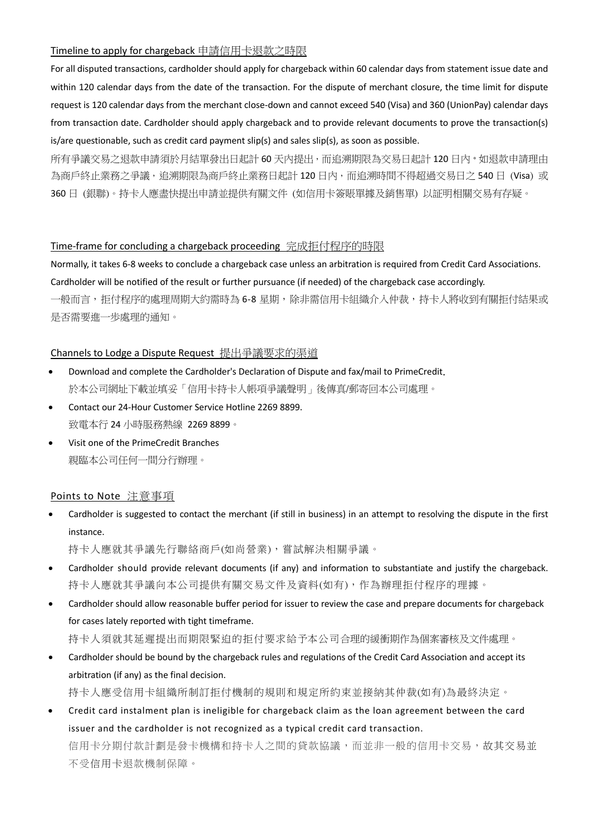#### Timeline to apply for chargeback 申請信用卡退款之時限

For all disputed transactions, cardholder should apply for chargeback within 60 calendar days from statement issue date and within 120 calendar days from the date of the transaction. For the dispute of merchant closure, the time limit for dispute request is 120 calendar days from the merchant close-down and cannot exceed 540 (Visa) and 360 (UnionPay) calendar days from transaction date. Cardholder should apply chargeback and to provide relevant documents to prove the transaction(s) is/are questionable, such as credit card payment slip(s) and sales slip(s), as soon as possible.

所有爭議交易之退款申請須於月結單發出日起計 60 天內提出,而追溯期限為交易日起計 120 日内。如退款申請理由 為商戶終止業務之爭議,追溯期限為商戶終止業務日起計 120 日内,而追溯時間不得超過交易日之 540 日 (Visa) 或 360 日 (銀聯)。持卡人應盡快提出申請並提供有關文件 (如信用卡簽賬單據及銷售單) 以証明相關交易有存疑。

#### Time-frame for concluding a chargeback proceeding 完成拒付程序的時限

Normally, it takes 6-8 weeks to conclude a chargeback case unless an arbitration is required from Credit Card Associations. Cardholder will be notified of the result or further pursuance (if needed) of the chargeback case accordingly. 一般而言,拒付程序的處理周期大約需時為 6-8 星期,除非需信用卡組織介入仲裁,持卡人將收到有關拒付結果或 是否需要進一歩處理的通知。

#### Channels to Lodge a Dispute Request 提出爭議要求的渠道

- Download and complete the Cardholder's Declaration of Dispute and fax/mail to PrimeCredit. 於本公司網址下載並填妥「信用卡持卡人帳項爭議聲明」後傳真/郵寄回本公司處理。
- Contact our 24-Hour Customer Service Hotline 2269 8899. 致電本行 24 小時服務熱線 2269 8899。
- Visit one of the PrimeCredit Branches 親臨本公司任何一間分行辦理。

# Points to Note 注意事項

• Cardholder is suggested to contact the merchant (if still in business) in an attempt to resolving the dispute in the first instance.

持卡人應就其爭議先行聯絡商戶(如尚營業),嘗試解決相關爭議。

- Cardholder should provide relevant documents (if any) and information to substantiate and justify the chargeback. 持卡人應就其爭議向本公司提供有關交易文件及資料(如有),作為辦理拒付程序的理據。
- Cardholder should allow reasonable buffer period for issuer to review the case and prepare documents for chargeback for cases lately reported with tight timeframe.
	- 持卡人須就其延遲提出而期限緊迫的拒付要求給予本公司合理的緩衝期作為個案審核及文件處理。
- Cardholder should be bound by the chargeback rules and regulations of the Credit Card Association and accept its arbitration (if any) as the final decision.

持卡人應受信用卡組織所制訂拒付機制的規則和規定所約束並接納其仲裁(如有)為最終決定。

• Credit card instalment plan is ineligible for chargeback claim as the loan agreement between the card issuer and the cardholder is not recognized as a typical credit card transaction. 信用卡分期付款計劃是發卡機構和持卡人之間的貸款協議,而並非一般的信用卡交易,故其交易並 不受信用卡退款機制保障。